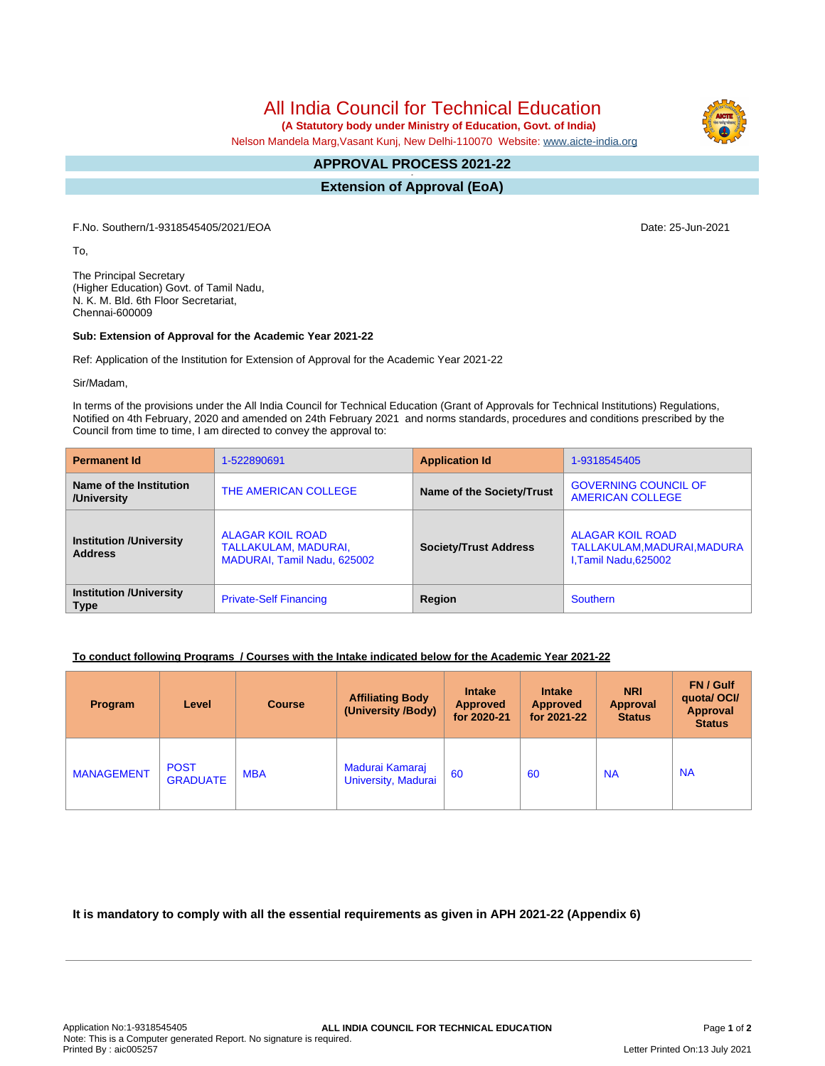All India Council for Technical Education

 **(A Statutory body under Ministry of Education, Govt. of India)**

Nelson Mandela Marg,Vasant Kunj, New Delhi-110070 Website: [www.aicte-india.org](http://www.aicte-india.org)

## **APPROVAL PROCESS 2021-22 -**

**Extension of Approval (EoA)**

F.No. Southern/1-9318545405/2021/EOA Date: 25-Jun-2021

To,

The Principal Secretary (Higher Education) Govt. of Tamil Nadu, N. K. M. Bld. 6th Floor Secretariat, Chennai-600009

## **Sub: Extension of Approval for the Academic Year 2021-22**

Ref: Application of the Institution for Extension of Approval for the Academic Year 2021-22

Sir/Madam,

In terms of the provisions under the All India Council for Technical Education (Grant of Approvals for Technical Institutions) Regulations, Notified on 4th February, 2020 and amended on 24th February 2021 and norms standards, procedures and conditions prescribed by the Council from time to time, I am directed to convey the approval to:

| <b>Permanent Id</b>                              | 1-522890691                                                                    | <b>Application Id</b>        | 1-9318545405                                                             |  |
|--------------------------------------------------|--------------------------------------------------------------------------------|------------------------------|--------------------------------------------------------------------------|--|
| Name of the Institution<br>/University           | THE AMERICAN COLLEGE                                                           | Name of the Society/Trust    | <b>GOVERNING COUNCIL OF</b><br><b>AMERICAN COLLEGE</b>                   |  |
| <b>Institution /University</b><br><b>Address</b> | <b>ALAGAR KOIL ROAD</b><br>TALLAKULAM, MADURAI,<br>MADURAI, Tamil Nadu, 625002 | <b>Society/Trust Address</b> | ALAGAR KOIL ROAD<br>TALLAKULAM, MADURAI, MADURA<br>I, Tamil Nadu, 625002 |  |
| <b>Institution /University</b><br><b>Type</b>    | <b>Private-Self Financing</b>                                                  | Region                       | Southern                                                                 |  |

## **To conduct following Programs / Courses with the Intake indicated below for the Academic Year 2021-22**

| Program           | Level                          | <b>Course</b> | <b>Affiliating Body</b><br>(University /Body) | <b>Intake</b><br><b>Approved</b><br>for 2020-21 | <b>Intake</b><br><b>Approved</b><br>for 2021-22 | <b>NRI</b><br>Approval<br><b>Status</b> | FN / Gulf<br>quotal OCI/<br>Approval<br><b>Status</b> |
|-------------------|--------------------------------|---------------|-----------------------------------------------|-------------------------------------------------|-------------------------------------------------|-----------------------------------------|-------------------------------------------------------|
| <b>MANAGEMENT</b> | <b>POST</b><br><b>GRADUATE</b> | <b>MBA</b>    | Madurai Kamaraj<br>University, Madurai        | 60                                              | 60                                              | <b>NA</b>                               | <b>NA</b>                                             |

**It is mandatory to comply with all the essential requirements as given in APH 2021-22 (Appendix 6)**